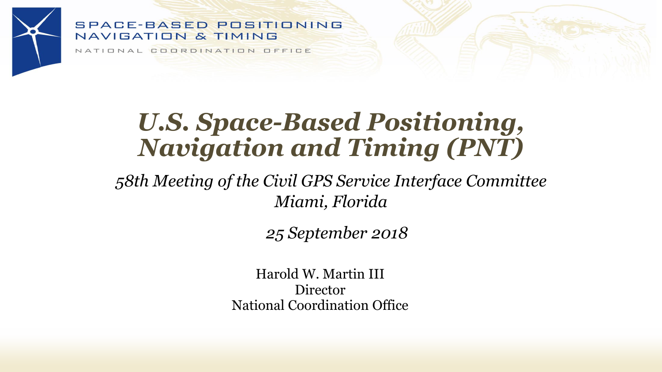#### **SPACE-BASED POSITIONING** NAVIGATION & TIMING

NATIONAL COORDINATION OFFICE

## *U.S. Space-Based Positioning, Navigation and Timing (PNT)*

*58th Meeting of the Civil GPS Service Interface Committee Miami, Florida*

*25 September 2018*

Harold W. Martin III Director National Coordination Office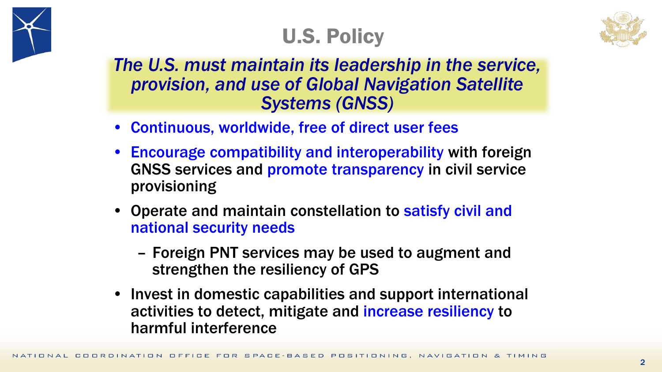

## U.S. Policy



*The U.S. must maintain its leadership in the service, provision, and use of Global Navigation Satellite Systems (GNSS)*

- Continuous, worldwide, free of direct user fees
- Encourage compatibility and interoperability with foreign GNSS services and promote transparency in civil service provisioning
- Operate and maintain constellation to satisfy civil and national security needs
	- Foreign PNT services may be used to augment and strengthen the resiliency of GPS
- Invest in domestic capabilities and support international activities to detect, mitigate and increase resiliency to harmful interference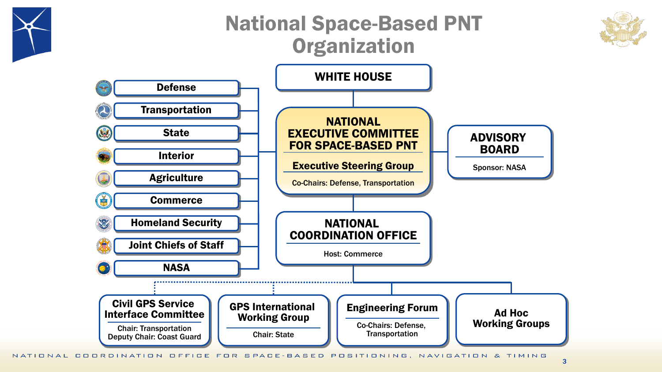### National Space-Based PNT **Organization**





NATIONAL COORDINATION OFFICE FOR SPACE-BASED POSITIONING, NAVIGATION & TIMING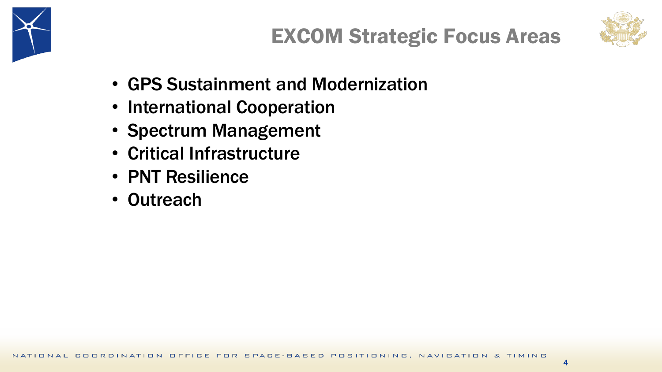



- GPS Sustainment and Modernization
- International Cooperation
- Spectrum Management
- Critical Infrastructure
- PNT Resilience
- Outreach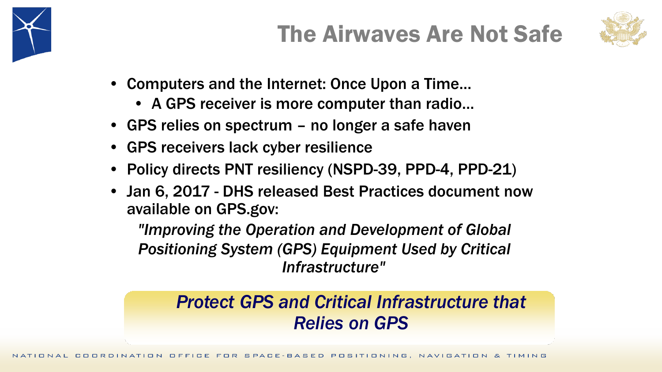

# The Airwaves Are Not Safe



- Computers and the Internet: Once Upon a Time…
	- A GPS receiver is more computer than radio…
- GPS relies on spectrum no longer a safe haven
- GPS receivers lack cyber resilience
- Policy directs PNT resiliency (NSPD-39, PPD-4, PPD-21)
- Jan 6, 2017 DHS released Best Practices document now available on GPS.gov:

*"Improving the Operation and Development of Global Positioning System (GPS) Equipment Used by Critical Infrastructure"*

### *Protect GPS and Critical Infrastructure that Relies on GPS*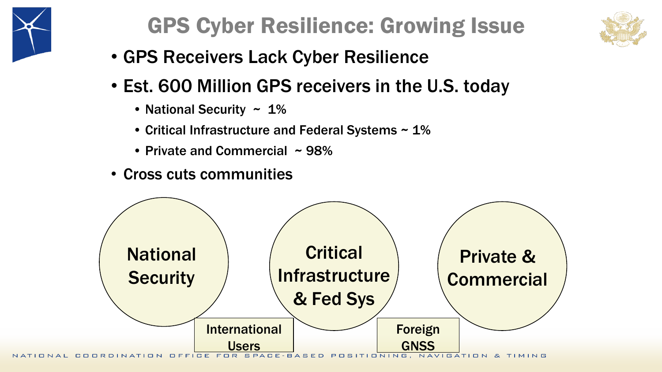

## GPS Cyber Resilience: Growing Issue



- GPS Receivers Lack Cyber Resilience
- Est. 600 Million GPS receivers in the U.S. today
	- National Security  $\sim 1\%$
	- Critical Infrastructure and Federal Systems ~ 1%
	- Private and Commercial ~ 98%
- Cross cuts communities

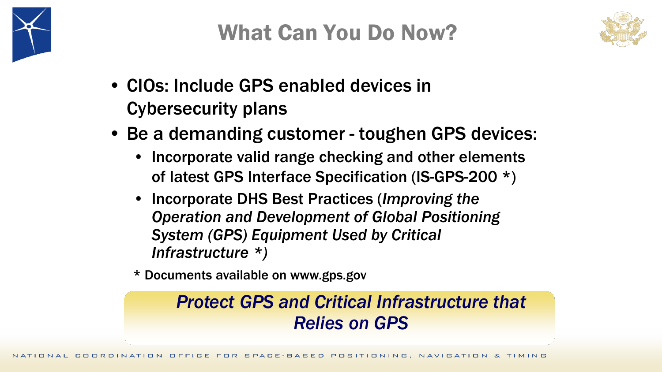



- CIOs: Include GPS enabled devices in Cybersecurity plans
- Be a demanding customer toughen GPS devices:
	- Incorporate valid range checking and other elements of latest GPS Interface Specification (IS-GPS-200 \*)
	- Incorporate DHS Best Practices (*Improving the Operation and Development of Global Positioning System (GPS) Equipment Used by Critical Infrastructure \*)*
	- \* Documents available on www.gps.gov

### *Protect GPS and Critical Infrastructure that Relies on GPS*